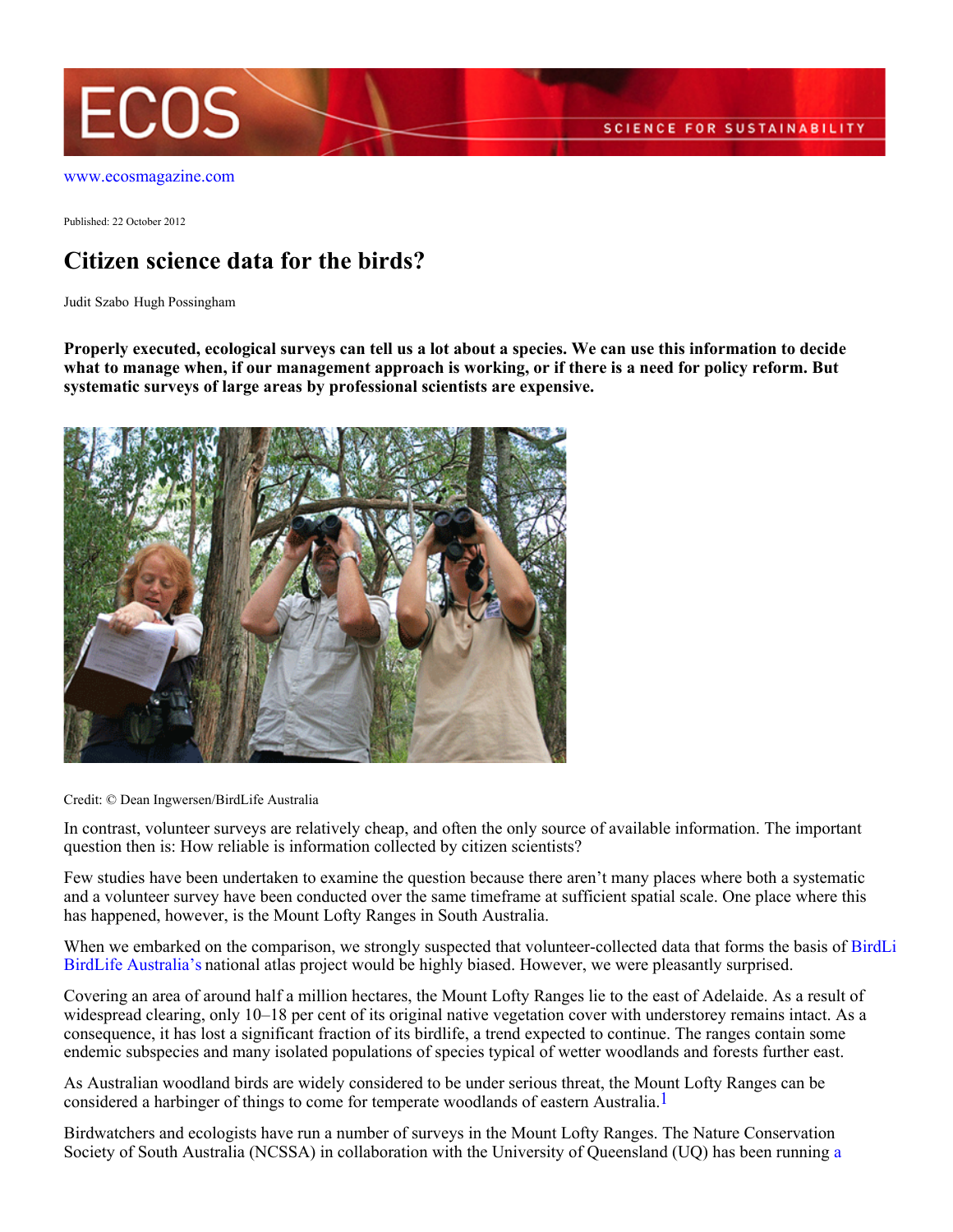

[www.ecosmagazine.com](http://www.ecosmagazine.com)

Published: 22 October 2012

## **Citizen science data for the birds?**

Judit Szabo Hugh Possingham

**Properly executed, ecological surveys can tell us a lot about a species. We can use this information to decide what to manage when, if our management approach is working, or if there is a need for policy reform. But systematic surveys of large areas by professional scientists are expensive.**



Credit: © Dean Ingwersen/BirdLife Australia

In contrast, volunteer surveys are relatively cheap, and often the only source of available information. The important question then is: How reliable is information collected by citizen scientists?

Few studies have been undertaken to examine the question because there aren't many places where both a systematic and a volunteer survey have been conducted over the same timeframe at sufficient spatial scale. One place where this has happened, however, is the Mount Lofty Ranges in South Australia.

When we embarked on the comparison, we strongly suspected that volunteer-collected data that forms the basis of [B](http://www.birdlife.org.au/)irdLi [BirdLife Australia's](http://www.birdlife.org.au/) national atlas project would be highly biased. However, we were pleasantly surprised.

Covering an area of around half a million hectares, the Mount Lofty Ranges lie to the east of Adelaide. As a result of widespread clearing, only 10–18 per cent of its original native vegetation cover with understorey remains intact. As a consequence, it has lost a significant fraction of its birdlife, a trend expected to continue. The ranges contain some endemic subspecies and many isolated populations of species typical of wetter woodlands and forests further east.

As Australian woodland birds are widely considered to be under serious threat, the Mount Lofty Ranges can be considered a harbinger of things to come for temperate woodlands of eastern Australia.<sup>1</sup>

Birdwatchers and ecologists have run a number of surveys in the Mount Lofty Ranges. The Nature Conservation Society of South Australia (NCSSA) in collaboration with the University of Queensland (UQ) has been running [a](http://www.uq.edu.au/ecology/mount-loftyranges-survey-long-term-regional-bird-data)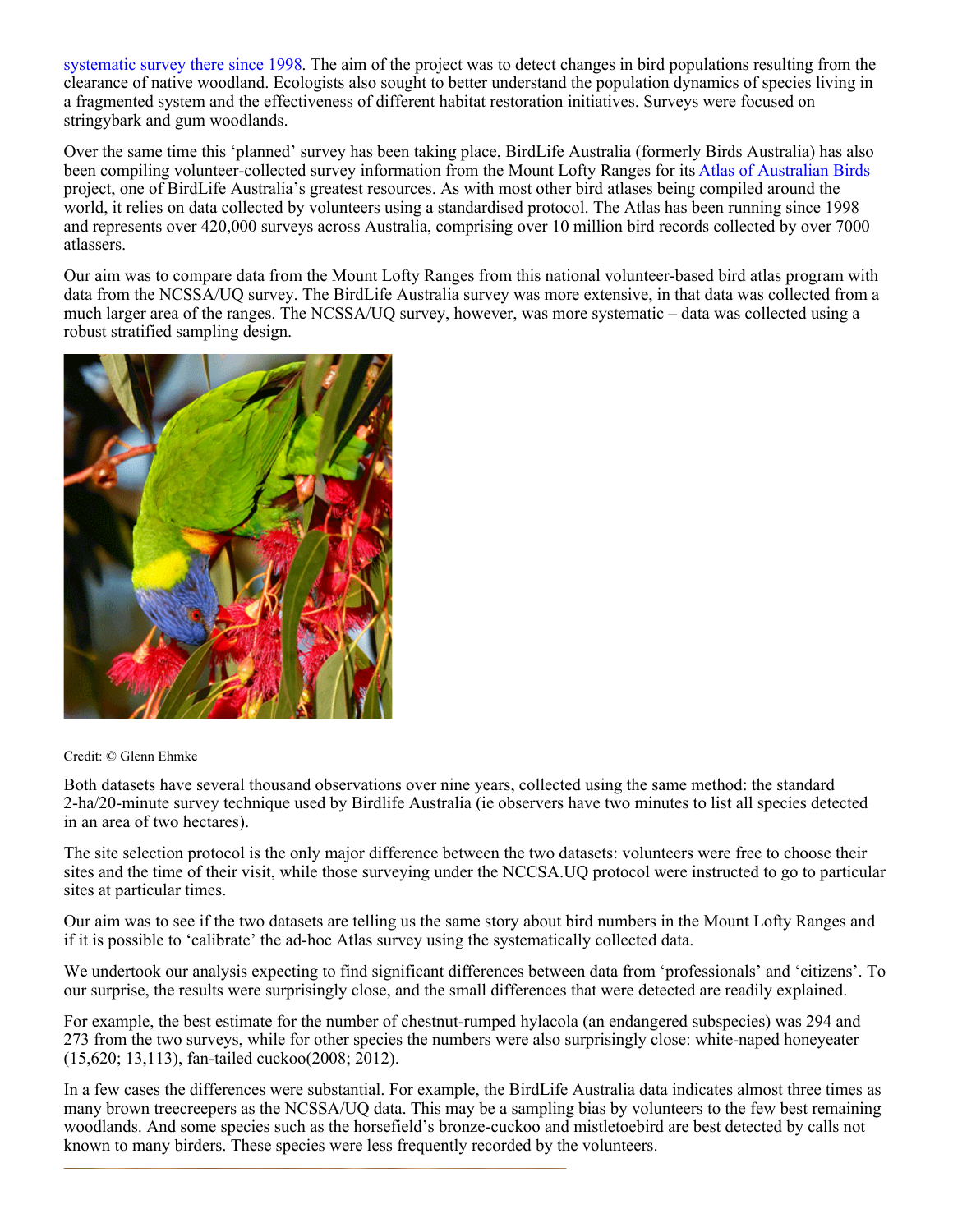[systematic survey there since 1998](http://www.uq.edu.au/ecology/mount-loftyranges-survey-long-term-regional-bird-data). The aim of the project was to detect changes in bird populations resulting from the clearance of native woodland. Ecologists also sought to better understand the population dynamics of species living in a fragmented system and the effectiveness of different habitat restoration initiatives. Surveys were focused on stringybark and gum woodlands.

Over the same time this 'planned' survey has been taking place, BirdLife Australia (formerly Birds Australia) has also been compiling volunteer-collected survey information from the Mount Lofty Ranges for its [Atlas of Australian Birds](http://www.birdlife.org.au/projects/atlas-and-birdata) project, one of BirdLife Australia's greatest resources. As with most other bird atlases being compiled around the world, it relies on data collected by volunteers using a standardised protocol. The Atlas has been running since 1998 and represents over 420,000 surveys across Australia, comprising over 10 million bird records collected by over 7000 atlassers.

Our aim was to compare data from the Mount Lofty Ranges from this national volunteer-based bird atlas program with data from the NCSSA/UQ survey. The BirdLife Australia survey was more extensive, in that data was collected from a much larger area of the ranges. The NCSSA/UQ survey, however, was more systematic – data was collected using a robust stratified sampling design.



## Credit: © Glenn Ehmke

Both datasets have several thousand observations over nine years, collected using the same method: the standard 2-ha/20-minute survey technique used by Birdlife Australia (ie observers have two minutes to list all species detected in an area of two hectares).

The site selection protocol is the only major difference between the two datasets: volunteers were free to choose their sites and the time of their visit, while those surveying under the NCCSA.UQ protocol were instructed to go to particular sites at particular times.

Our aim was to see if the two datasets are telling us the same story about bird numbers in the Mount Lofty Ranges and if it is possible to 'calibrate' the ad-hoc Atlas survey using the systematically collected data.

We undertook our analysis expecting to find significant differences between data from 'professionals' and 'citizens'. To our surprise, the results were surprisingly close, and the small differences that were detected are readily explained.

For example, the best estimate for the number of chestnut-rumped hylacola (an endangered subspecies) was 294 and 273 from the two surveys, while for other species the numbers were also surprisingly close: white-naped honeyeater (15,620; 13,113), fan-tailed cuckoo(2008; 2012).

In a few cases the differences were substantial. For example, the BirdLife Australia data indicates almost three times as many brown treecreepers as the NCSSA/UQ data. This may be a sampling bias by volunteers to the few best remaining woodlands. And some species such as the horsefield's bronze-cuckoo and mistletoebird are best detected by calls not known to many birders. These species were less frequently recorded by the volunteers.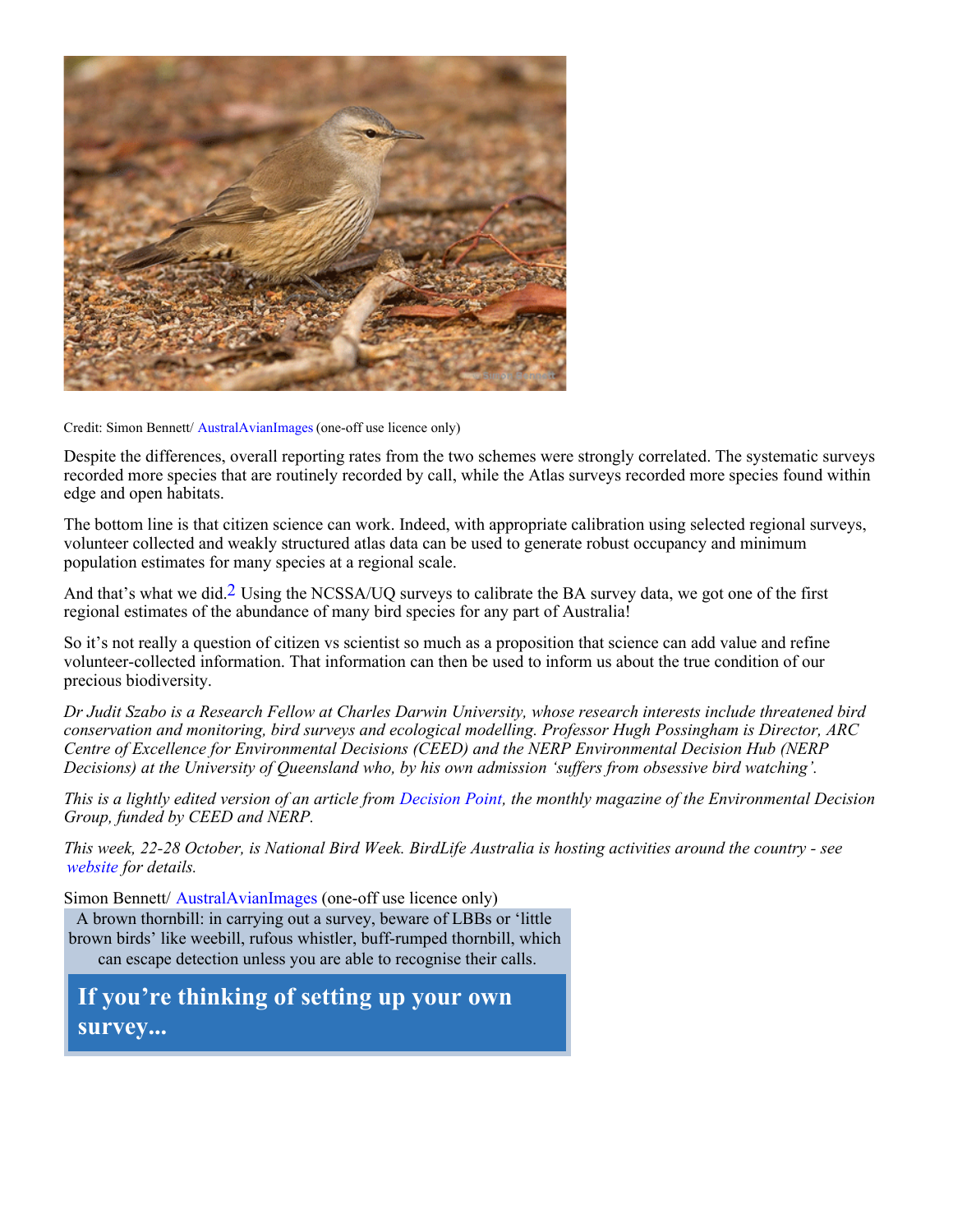

Credit: Simon Bennett/ [AustralAvianImages](http://www.australavianimages.com/gallery3/index.php) (one-off use licence only)

Despite the differences, overall reporting rates from the two schemes were strongly correlated. The systematic surveys recorded more species that are routinely recorded by call, while the Atlas surveys recorded more species found within edge and open habitats.

The bottom line is that citizen science can work. Indeed, with appropriate calibration using selected regional surveys, volunteer collected and weakly structured atlas data can be used to generate robust occupancy and minimum population estimates for many species at a regional scale.

And that's what we did.<sup>2</sup> Using the NCSSA/UO surveys to calibrate the BA survey data, we got one of the first regional estimates of the abundance of many bird species for any part of Australia!

So it's not really a question of citizen vs scientist so much as a proposition that science can add value and refine volunteer-collected information. That information can then be used to inform us about the true condition of our precious biodiversity.

*Dr Judit Szabo is a Research Fellow at Charles Darwin University, whose research interests include threatened bird conservation and monitoring, bird surveys and ecological modelling. Professor Hugh Possingham is Director, ARC Centre of Excellence for Environmental Decisions (CEED) and the NERP Environmental Decision Hub (NERP Decisions) at the University of Queensland who, by his own admission 'suffers from obsessive bird watching'.*

*This is a lightly edited version of an article from [Decision Point](http://www.decision-point.com.au/), the monthly magazine of the Environmental Decision Group, funded by CEED and NERP.*

*This week, 22-28 October, is National Bird Week. BirdLife Australia is hosting activities around the country - see [website](http://www.birdlife.org.au/get-involved/whats-on/bird-week) for details.*

Simon Bennett/ [AustralAvianImages](http://www.australavianimages.com/gallery3/index.php) (one-off use licence only) A brown thornbill: in carrying out a survey, beware of LBBs or 'little brown birds' like weebill, rufous whistler, buff-rumped thornbill, which can escape detection unless you are able to recognise their calls.

**If you're thinking of setting up your own survey...**